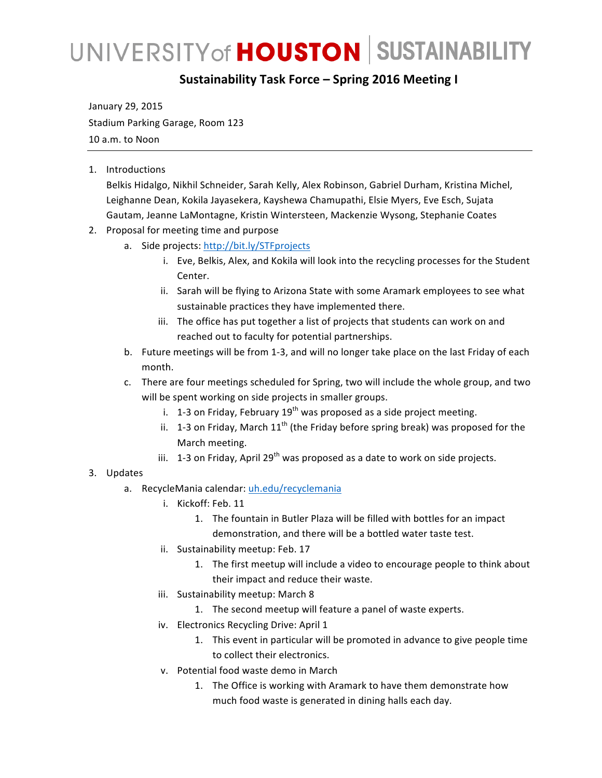## UNIVERSITY of **HOUSTON** SUSTAINABILITY

## **Sustainability Task Force – Spring 2016 Meeting I**

January 29, 2015 Stadium Parking Garage, Room 123 10 a.m. to Noon

1. Introductions 

Belkis Hidalgo, Nikhil Schneider, Sarah Kelly, Alex Robinson, Gabriel Durham, Kristina Michel, Leighanne Dean, Kokila Jayasekera, Kayshewa Chamupathi, Elsie Myers, Eve Esch, Sujata Gautam, Jeanne LaMontagne, Kristin Wintersteen, Mackenzie Wysong, Stephanie Coates

- 2. Proposal for meeting time and purpose
	- a. Side projects: http://bit.ly/STFprojects
		- i. Eve, Belkis, Alex, and Kokila will look into the recycling processes for the Student Center.
		- ii. Sarah will be flying to Arizona State with some Aramark employees to see what sustainable practices they have implemented there.
		- iii. The office has put together a list of projects that students can work on and reached out to faculty for potential partnerships.
	- b. Future meetings will be from 1-3, and will no longer take place on the last Friday of each month.

c. There are four meetings scheduled for Spring, two will include the whole group, and two will be spent working on side projects in smaller groups.

- i. 1-3 on Friday, February  $19^{th}$  was proposed as a side project meeting.
- ii. 1-3 on Friday, March  $11<sup>th</sup>$  (the Friday before spring break) was proposed for the March meeting.
- iii. 1-3 on Friday, April 29<sup>th</sup> was proposed as a date to work on side projects.
- 3. Updates
	- a. RecycleMania calendar: uh.edu/recyclemania
		- i. Kickoff: Feb. 11
			- 1. The fountain in Butler Plaza will be filled with bottles for an impact demonstration, and there will be a bottled water taste test.
		- ii. Sustainability meetup: Feb. 17
			- 1. The first meetup will include a video to encourage people to think about their impact and reduce their waste.
		- iii. Sustainability meetup: March 8
			- 1. The second meetup will feature a panel of waste experts.
		- iv. Electronics Recycling Drive: April 1
			- 1. This event in particular will be promoted in advance to give people time to collect their electronics.
		- v. Potential food waste demo in March
			- 1. The Office is working with Aramark to have them demonstrate how much food waste is generated in dining halls each day.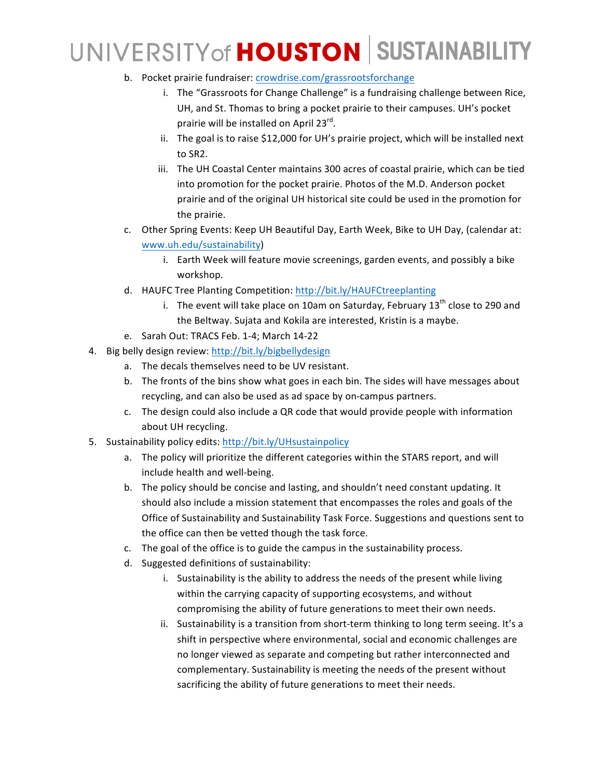## UNIVERSITY of HOUSTON SUSTAINABILITY

- b. Pocket prairie fundraiser: crowdrise.com/grassrootsforchange
	- i. The "Grassroots for Change Challenge" is a fundraising challenge between Rice, UH, and St. Thomas to bring a pocket prairie to their campuses. UH's pocket prairie will be installed on April  $23^{rd}$ .
	- ii. The goal is to raise \$12,000 for UH's prairie project, which will be installed next to SR2.
	- iii. The UH Coastal Center maintains 300 acres of coastal prairie, which can be tied into promotion for the pocket prairie. Photos of the M.D. Anderson pocket prairie and of the original UH historical site could be used in the promotion for the prairie.
- c. Other Spring Events: Keep UH Beautiful Day, Earth Week, Bike to UH Day, (calendar at: www.uh.edu/sustainability)
	- i. Earth Week will feature movie screenings, garden events, and possibly a bike workshop.
- d. HAUFC Tree Planting Competition: http://bit.ly/HAUFCtreeplanting
	- i. The event will take place on 10am on Saturday, February  $13<sup>th</sup>$  close to 290 and the Beltway. Sujata and Kokila are interested, Kristin is a maybe.
- e. Sarah Out: TRACS Feb. 1-4; March 14-22
- 4. Big belly design review: http://bit.ly/bigbellydesign
	- a. The decals themselves need to be UV resistant.
	- b. The fronts of the bins show what goes in each bin. The sides will have messages about recycling, and can also be used as ad space by on-campus partners.
	- c. The design could also include a QR code that would provide people with information about UH recycling.
- 5. Sustainability policy edits: http://bit.ly/UHsustainpolicy
	- a. The policy will prioritize the different categories within the STARS report, and will include health and well-being.
	- b. The policy should be concise and lasting, and shouldn't need constant updating. It should also include a mission statement that encompasses the roles and goals of the Office of Sustainability and Sustainability Task Force. Suggestions and questions sent to the office can then be vetted though the task force.
	- c. The goal of the office is to guide the campus in the sustainability process.
	- d. Suggested definitions of sustainability:
		- i. Sustainability is the ability to address the needs of the present while living within the carrying capacity of supporting ecosystems, and without compromising the ability of future generations to meet their own needs.
		- ii. Sustainability is a transition from short-term thinking to long term seeing. It's a shift in perspective where environmental, social and economic challenges are no longer viewed as separate and competing but rather interconnected and complementary. Sustainability is meeting the needs of the present without sacrificing the ability of future generations to meet their needs.